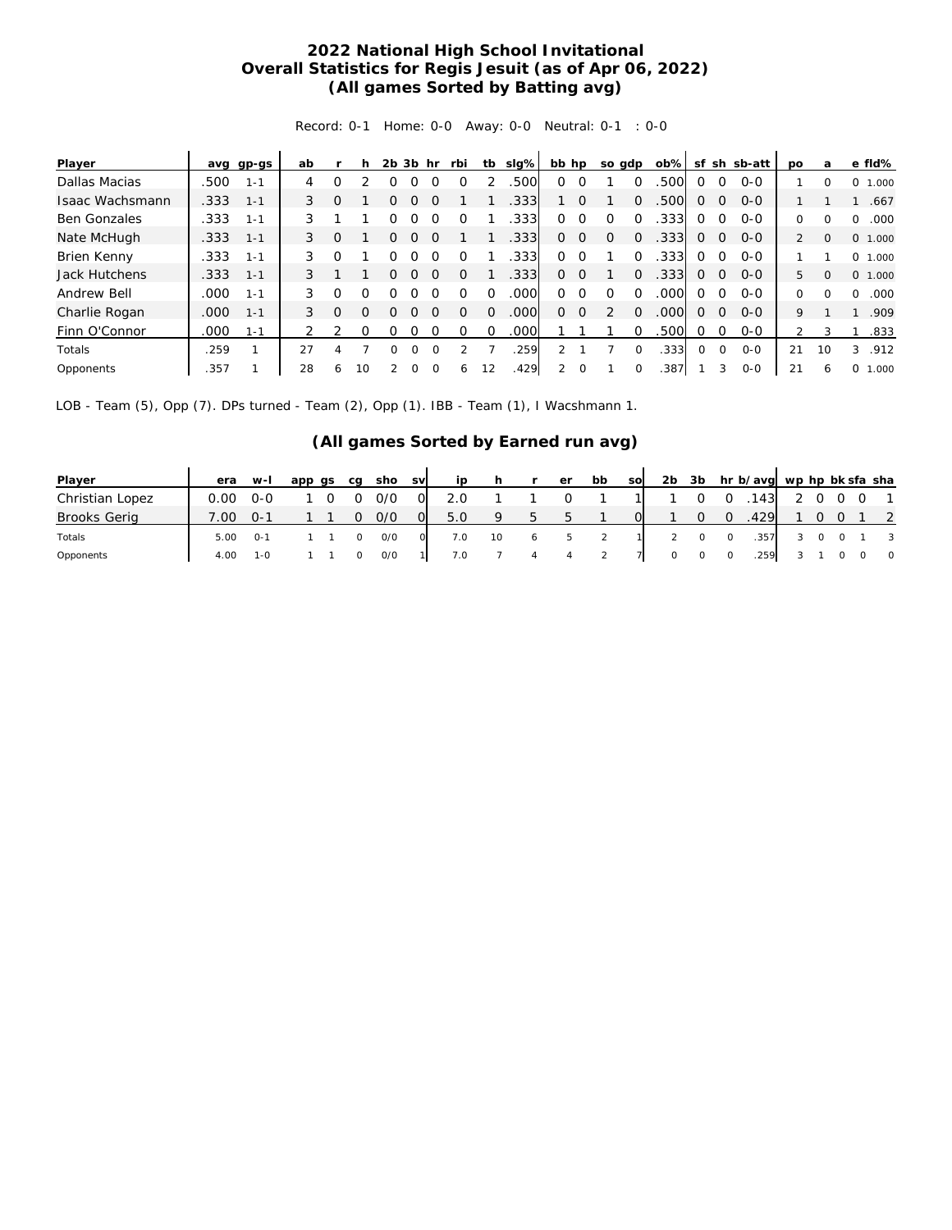## **2022 National High School Invitational Overall Statistics for Regis Jesuit (as of Apr 06, 2022) (All games Sorted by Batting avg)**

Record: 0-1 Home: 0-0 Away: 0-0 Neutral: 0-1 : 0-0

| Player              |      | avg gp-gs | ab |          | h  | 2 <sub>b</sub> | 3b | hr       | rbi      | tb       | slg% | bb hp         |          | so gdp   |          | $ob\%$ | sf           |              | sh sb-att | <b>DO</b>      | a        | e fld%                    |
|---------------------|------|-----------|----|----------|----|----------------|----|----------|----------|----------|------|---------------|----------|----------|----------|--------|--------------|--------------|-----------|----------------|----------|---------------------------|
| Dallas Macias       | .500 | $1 - 1$   | 4  | ი        |    |                |    |          |          |          | 500  | Ω             |          |          |          | 500    | $\Omega$     |              | $O - O$   |                | 0        | 0<br>1.000                |
| Isaac Wachsmann     | .333 | $1 - 1$   | 3  | $\Omega$ |    |                |    |          |          |          | .333 |               | $\Omega$ |          | 0        | .500   | $\Omega$     | 0            | $0 - 0$   |                |          | .667                      |
| <b>Ben Gonzales</b> | .333 | $1 - 1$   | 3  |          |    |                |    |          |          |          | 333. | 0             |          |          |          | .333   | $\Omega$     | $\Omega$     | $0 - 0$   | O              |          | .000<br>0                 |
| Nate McHugh         | .333 | $1 - 1$   | 3  | $\Omega$ |    |                |    |          |          |          | .333 | 0             | $\Omega$ | $\Omega$ | $\Omega$ | .333   | $\Omega$     | $\mathbf{0}$ | $O - O$   | $\overline{2}$ | $\Omega$ | 0, 1,000                  |
| Brien Kenny         | .333 | $1 - 1$   | 3  |          |    |                |    |          |          |          | 333. | 0             |          |          |          | .3331  | $\Omega$     | $\Omega$     | $O-O$     |                |          | 0, 1,000                  |
| Jack Hutchens       | .333 | $1 - 1$   | 3  |          |    | ∩              |    |          | O        |          | .333 | Ω             | $\Omega$ |          | $\Omega$ | .333   | $\Omega$     | $\circ$      | $O-O$     | 5.             | $\Omega$ | 0, 1,000                  |
| Andrew Bell         | .000 | $1 - 1$   | 3  | Ω        | Ω  |                |    |          |          |          | 000  | O             | $\Omega$ |          | ∩        | .000   | ∩            | 0            | $O-O$     | 0              | O        | .000<br>$\Omega$          |
| Charlie Rogan       | .000 | $1 - 1$   | 3  | $\Omega$ | Ω  | ∩              |    | $\Omega$ | $\Omega$ | $\Omega$ | 000  | 0             | $\Omega$ |          | $\Omega$ | .000   | $\Omega$     | $\Omega$     | $O-O$     | 9              |          | .909                      |
| Finn O'Connor       | .000 | $1 - 1$   |    |          | ∩  | Ω              |    |          | Ω        | O        | .000 |               |          |          |          | .500   | 0            | 0            | $0 - 0$   | 2              | 3        | .833                      |
| Totals              | .259 |           | 27 | Δ        |    |                | ∩  |          |          |          | 259  |               |          |          | $\Omega$ | .333   | <sup>o</sup> | $\Omega$     | $O - O$   | 21             | 10       | .912<br>3                 |
| Opponents           | .357 |           | 28 | 6        | 10 |                | O  |          | 6        | 12       | 429  | $\mathcal{L}$ | $\Omega$ |          | $\Omega$ | .387   |              | 3            | $O - O$   | 21             | 6        | <sup>o</sup><br>.000<br>л |

LOB - Team (5), Opp (7). DPs turned - Team (2), Opp (1). IBB - Team (1), I Wacshmann 1.

## **(All games Sorted by Earned run avg)**

| Player              | era  | $W-I$        | app qs | ca | sho | <b>SV</b> | ip  |    |              | er            | bb | <b>SO</b> | 2 <sub>b</sub> | 3b |          | hr b/avg wp hp bk sfa sha |  |         |                            |
|---------------------|------|--------------|--------|----|-----|-----------|-----|----|--------------|---------------|----|-----------|----------------|----|----------|---------------------------|--|---------|----------------------------|
| Christian Lopez     | 0.00 | ი-ი          |        |    | 0/0 | 0         | 2.0 |    |              |               |    |           |                |    |          | 143                       |  | $\circ$ | $\overline{1}$             |
| <b>Brooks Gerig</b> | 7.00 | $0 - 1$      |        |    | 0/0 | O.        | 5.0 | Q  | $\mathbf{b}$ | $\mathcal{D}$ |    |           |                |    | $\Omega$ | .429                      |  |         | $\overline{\phantom{0}}^2$ |
| Totals              | 5.00 | O-1          |        |    | O/O |           | 7.0 | 10 | 6            | $5^{\circ}$   |    |           |                |    | $\circ$  | .357                      |  |         | $\overline{\phantom{a}}$   |
| Opponents           | 4.00 | $1 - \Omega$ |        |    | O/O |           | 7.0 |    |              |               |    |           |                |    | 0        | .259                      |  |         | $\circ$                    |